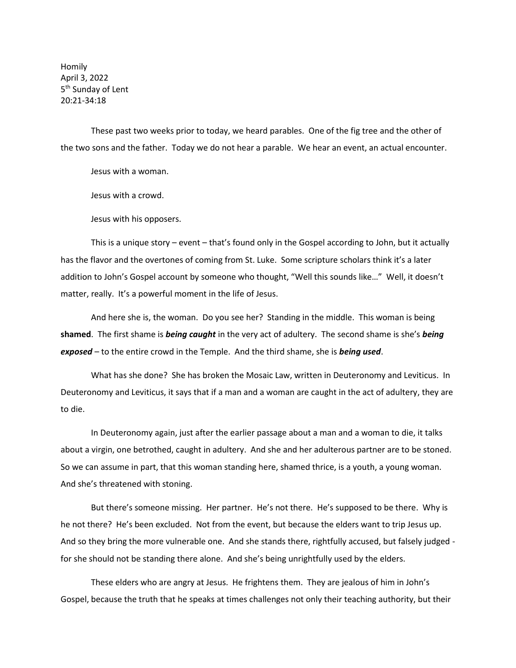Homily April 3, 2022 5<sup>th</sup> Sunday of Lent 20:21-34:18

These past two weeks prior to today, we heard parables. One of the fig tree and the other of the two sons and the father. Today we do not hear a parable. We hear an event, an actual encounter.

Jesus with a woman.

Jesus with a crowd.

Jesus with his opposers.

This is a unique story – event – that's found only in the Gospel according to John, but it actually has the flavor and the overtones of coming from St. Luke. Some scripture scholars think it's a later addition to John's Gospel account by someone who thought, "Well this sounds like…" Well, it doesn't matter, really. It's a powerful moment in the life of Jesus.

And here she is, the woman. Do you see her? Standing in the middle. This woman is being **shamed**. The first shame is *being caught* in the very act of adultery. The second shame is she's *being exposed* – to the entire crowd in the Temple. And the third shame, she is *being used*.

What has she done? She has broken the Mosaic Law, written in Deuteronomy and Leviticus. In Deuteronomy and Leviticus, it says that if a man and a woman are caught in the act of adultery, they are to die.

In Deuteronomy again, just after the earlier passage about a man and a woman to die, it talks about a virgin, one betrothed, caught in adultery. And she and her adulterous partner are to be stoned. So we can assume in part, that this woman standing here, shamed thrice, is a youth, a young woman. And she's threatened with stoning.

But there's someone missing. Her partner. He's not there. He's supposed to be there. Why is he not there? He's been excluded. Not from the event, but because the elders want to trip Jesus up. And so they bring the more vulnerable one. And she stands there, rightfully accused, but falsely judged for she should not be standing there alone. And she's being unrightfully used by the elders.

These elders who are angry at Jesus. He frightens them. They are jealous of him in John's Gospel, because the truth that he speaks at times challenges not only their teaching authority, but their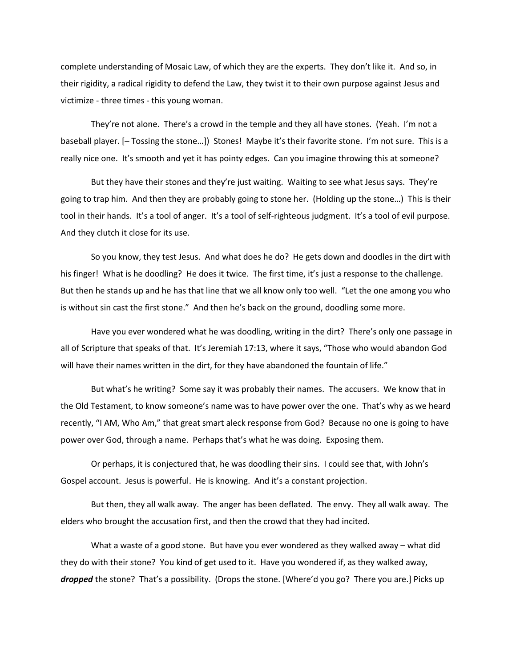complete understanding of Mosaic Law, of which they are the experts. They don't like it. And so, in their rigidity, a radical rigidity to defend the Law, they twist it to their own purpose against Jesus and victimize - three times - this young woman.

They're not alone. There's a crowd in the temple and they all have stones. (Yeah. I'm not a baseball player. [– Tossing the stone…]) Stones! Maybe it's their favorite stone. I'm not sure. This is a really nice one. It's smooth and yet it has pointy edges. Can you imagine throwing this at someone?

But they have their stones and they're just waiting. Waiting to see what Jesus says. They're going to trap him. And then they are probably going to stone her. (Holding up the stone…) This is their tool in their hands. It's a tool of anger. It's a tool of self-righteous judgment. It's a tool of evil purpose. And they clutch it close for its use.

So you know, they test Jesus. And what does he do? He gets down and doodles in the dirt with his finger! What is he doodling? He does it twice. The first time, it's just a response to the challenge. But then he stands up and he has that line that we all know only too well. "Let the one among you who is without sin cast the first stone." And then he's back on the ground, doodling some more.

Have you ever wondered what he was doodling, writing in the dirt? There's only one passage in all of Scripture that speaks of that. It's Jeremiah 17:13, where it says, "Those who would abandon God will have their names written in the dirt, for they have abandoned the fountain of life."

But what's he writing? Some say it was probably their names. The accusers. We know that in the Old Testament, to know someone's name was to have power over the one. That's why as we heard recently, "I AM, Who Am," that great smart aleck response from God? Because no one is going to have power over God, through a name. Perhaps that's what he was doing. Exposing them.

Or perhaps, it is conjectured that, he was doodling their sins. I could see that, with John's Gospel account. Jesus is powerful. He is knowing. And it's a constant projection.

But then, they all walk away. The anger has been deflated. The envy. They all walk away. The elders who brought the accusation first, and then the crowd that they had incited.

What a waste of a good stone. But have you ever wondered as they walked away – what did they do with their stone? You kind of get used to it. Have you wondered if, as they walked away, dropped the stone? That's a possibility. (Drops the stone. [Where'd you go? There you are.] Picks up